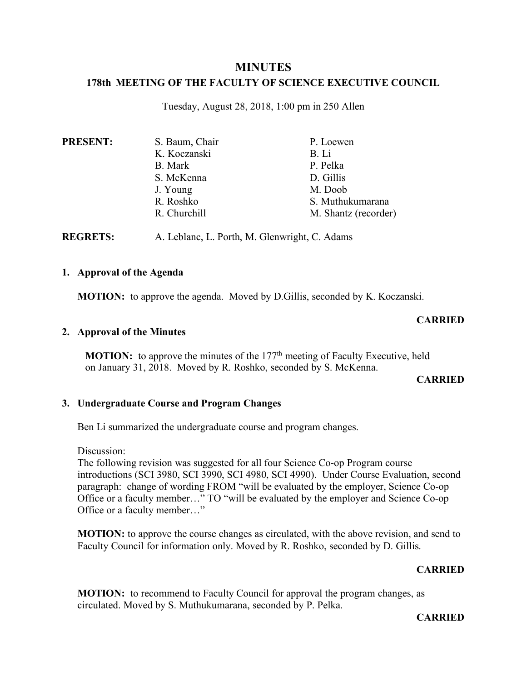# **MINUTES**

# **178th MEETING OF THE FACULTY OF SCIENCE EXECUTIVE COUNCIL**

Tuesday, August 28, 2018, 1:00 pm in 250 Allen

| <b>PRESENT:</b> | S. Baum, Chair | P. Loewen            |
|-----------------|----------------|----------------------|
|                 | K. Koczanski   | B. Li                |
|                 | B. Mark        | P. Pelka             |
|                 | S. McKenna     | D. Gillis            |
|                 | J. Young       | M. Doob              |
|                 | R. Roshko      | S. Muthukumarana     |
|                 | R. Churchill   | M. Shantz (recorder) |

**REGRETS:** A. Leblanc, L. Porth, M. Glenwright, C. Adams

### **1. Approval of the Agenda**

**MOTION:** to approve the agenda. Moved by D.Gillis, seconded by K. Koczanski.

# **CARRIED**

### **2. Approval of the Minutes**

**MOTION:** to approve the minutes of the 177<sup>th</sup> meeting of Faculty Executive, held on January 31, 2018. Moved by R. Roshko, seconded by S. McKenna.

### **CARRIED**

### **3. Undergraduate Course and Program Changes**

Ben Li summarized the undergraduate course and program changes.

Discussion:

The following revision was suggested for all four Science Co-op Program course introductions (SCI 3980, SCI 3990, SCI 4980, SCI 4990). Under Course Evaluation, second paragraph: change of wording FROM "will be evaluated by the employer, Science Co-op Office or a faculty member…" TO "will be evaluated by the employer and Science Co-op Office or a faculty member…"

**MOTION:** to approve the course changes as circulated, with the above revision, and send to Faculty Council for information only. Moved by R. Roshko, seconded by D. Gillis.

### **CARRIED**

**MOTION:** to recommend to Faculty Council for approval the program changes, as circulated. Moved by S. Muthukumarana, seconded by P. Pelka.

**CARRIED**